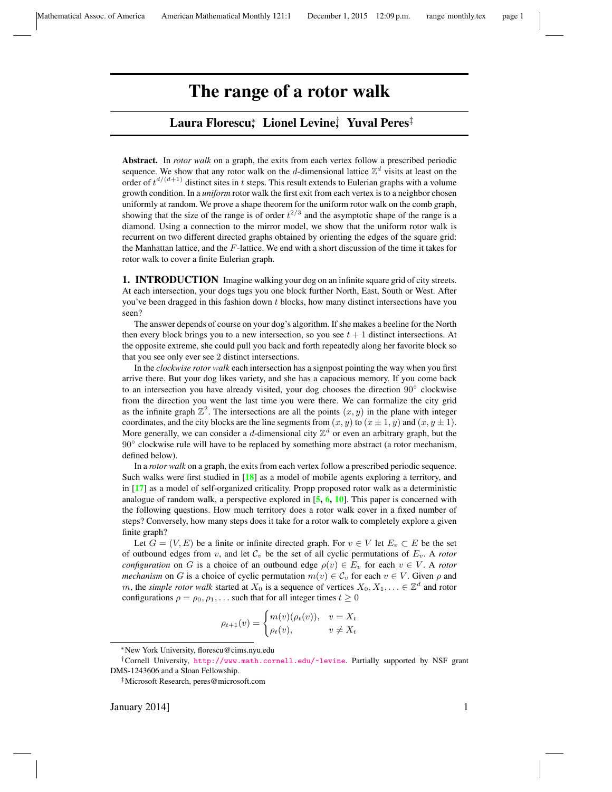# The range of a rotor walk

# Laura Florescu, ≀Lionel Levine, ≀Yuval Peres‡

Abstract. In *rotor walk* on a graph, the exits from each vertex follow a prescribed periodic sequence. We show that any rotor walk on the d-dimensional lattice  $\mathbb{Z}^d$  visits at least on the order of  $t^{d/(d+1)}$  distinct sites in t steps. This result extends to Eulerian graphs with a volume growth condition. In a *uniform* rotor walk the first exit from each vertex is to a neighbor chosen uniformly at random. We prove a shape theorem for the uniform rotor walk on the comb graph, showing that the size of the range is of order  $t^{2/3}$  and the asymptotic shape of the range is a diamond. Using a connection to the mirror model, we show that the uniform rotor walk is recurrent on two different directed graphs obtained by orienting the edges of the square grid: the Manhattan lattice, and the F-lattice. We end with a short discussion of the time it takes for rotor walk to cover a finite Eulerian graph.

**1. INTRODUCTION** Imagine walking your dog on an infinite square grid of city streets. At each intersection, your dogs tugs you one block further North, East, South or West. After you've been dragged in this fashion down  $t$  blocks, how many distinct intersections have you seen?

The answer depends of course on your dog's algorithm. If she makes a beeline for the North then every block brings you to a new intersection, so you see  $t + 1$  distinct intersections. At the opposite extreme, she could pull you back and forth repeatedly along her favorite block so that you see only ever see 2 distinct intersections.

In the *clockwise rotor walk* each intersection has a signpost pointing the way when you first arrive there. But your dog likes variety, and she has a capacious memory. If you come back to an intersection you have already visited, your dog chooses the direction 90° clockwise from the direction you went the last time you were there. We can formalize the city grid as the infinite graph  $\mathbb{Z}^2$ . The intersections are all the points  $(x, y)$  in the plane with integer coordinates, and the city blocks are the line segments from  $(x, y)$  to  $(x \pm 1, y)$  and  $(x, y \pm 1)$ . More generally, we can consider a d-dimensional city  $\mathbb{Z}^d$  or even an arbitrary graph, but the 90° clockwise rule will have to be replaced by something more abstract (a rotor mechanism, defined below).

In a *rotor walk* on a graph, the exits from each vertex follow a prescribed periodic sequence. Such walks were first studied in [[18](#page-13-0)] as a model of mobile agents exploring a territory, and in [[17](#page-13-1)] as a model of self-organized criticality. Propp proposed rotor walk as a deterministic analogue of random walk, a perspective explored in  $[5, 6, 10]$  $[5, 6, 10]$  $[5, 6, 10]$  $[5, 6, 10]$  $[5, 6, 10]$  $[5, 6, 10]$  $[5, 6, 10]$ . This paper is concerned with the following questions. How much territory does a rotor walk cover in a fixed number of steps? Conversely, how many steps does it take for a rotor walk to completely explore a given finite graph?

Let  $G = (V, E)$  be a finite or infinite directed graph. For  $v \in V$  let  $E_v \subset E$  be the set of outbound edges from v, and let  $\mathcal{C}_v$  be the set of all cyclic permutations of  $E_v$ . A *rotor configuration* on G is a choice of an outbound edge  $\rho(v) \in E_v$  for each  $v \in V$ . A *rotor mechanism* on G is a choice of cyclic permutation  $m(v) \in C_v$  for each  $v \in V$ . Given  $\rho$  and m, the *simple rotor walk* started at  $X_0$  is a sequence of vertices  $X_0, X_1, \ldots \in \mathbb{Z}^d$  and rotor configurations  $\rho = \rho_0, \rho_1, \ldots$  such that for all integer times  $t \geq 0$ 

$$
\rho_{t+1}(v) = \begin{cases} m(v)(\rho_t(v)), & v = X_t \\ \rho_t(v), & v \neq X_t \end{cases}
$$

<sup>∗</sup>New York University, florescu@cims.nyu.edu

<sup>†</sup>Cornell University, <http://www.math.cornell.edu/~levine>. Partially supported by NSF grant DMS-1243606 and a Sloan Fellowship.

<sup>‡</sup>Microsoft Research, peres@microsoft.com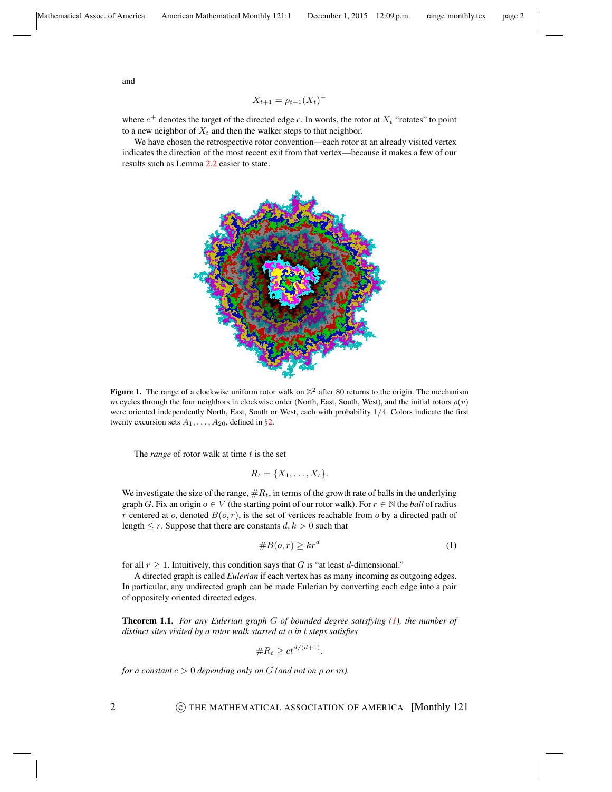and

$$
X_{t+1} = \rho_{t+1}(X_t)^+
$$

where  $e^+$  denotes the target of the directed edge e. In words, the rotor at  $X_t$  "rotates" to point to a new neighbor of  $X_t$  and then the walker steps to that neighbor.

<span id="page-1-2"></span>We have chosen the retrospective rotor convention—each rotor at an already visited vertex indicates the direction of the most recent exit from that vertex—because it makes a few of our results such as Lemma [2.2](#page-4-0) easier to state.



Figure 1. The range of a clockwise uniform rotor walk on  $\mathbb{Z}^2$  after 80 returns to the origin. The mechanism  $m$  cycles through the four neighbors in clockwise order (North, East, South, West), and the initial rotors  $\rho(v)$ were oriented independently North, East, South or West, each with probability 1/4. Colors indicate the first twenty excursion sets  $A_1, \ldots, A_{20}$ , defined in §[2.](#page-4-1)

The *range* of rotor walk at time t is the set

$$
R_t = \{X_1, \ldots, X_t\}.
$$

We investigate the size of the range,  $\#R_t$ , in terms of the growth rate of balls in the underlying graph G. Fix an origin  $o \in V$  (the starting point of our rotor walk). For  $r \in \mathbb{N}$  the *ball* of radius r centered at o, denoted  $B(o, r)$ , is the set of vertices reachable from o by a directed path of length  $\leq r$ . Suppose that there are constants  $d, k > 0$  such that

<span id="page-1-0"></span>#B(o, r) ≥ kr<sup>d</sup> (1)

for all  $r > 1$ . Intuitively, this condition says that G is "at least d-dimensional."

A directed graph is called *Eulerian* if each vertex has as many incoming as outgoing edges. In particular, any undirected graph can be made Eulerian by converting each edge into a pair of oppositely oriented directed edges.

<span id="page-1-1"></span>Theorem 1.1. *For any Eulerian graph* G *of bounded degree satisfying [\(1\)](#page-1-0), the number of distinct sites visited by a rotor walk started at* o *in* t *steps satisfies*

$$
\#R_t \ge ct^{d/(d+1)}.
$$

*for a constant*  $c > 0$  *depending only on*  $G$  *(and not on*  $\rho$  *or m).* 

2 **C** THE MATHEMATICAL ASSOCIATION OF AMERICA [Monthly 121]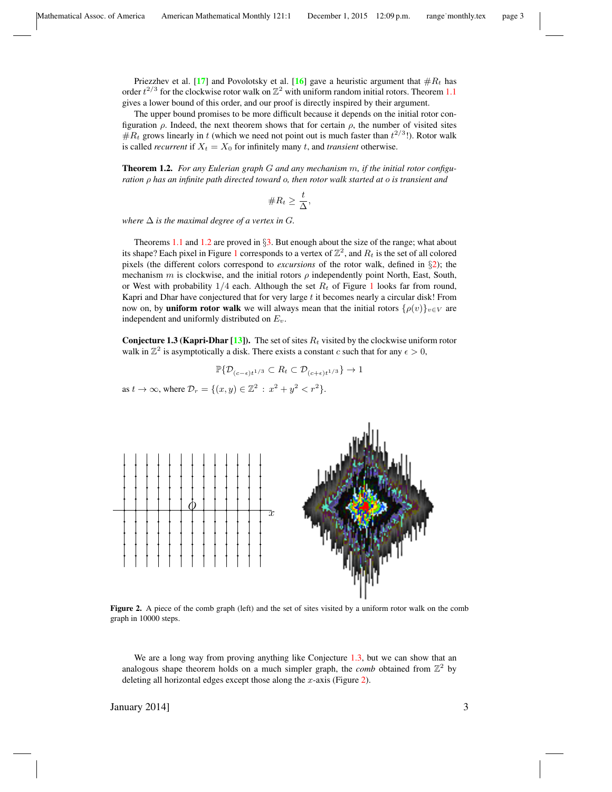Priezzhev et al. [[17](#page-13-1)] and Povolotsky et al. [[16](#page-13-2)] gave a heuristic argument that  $#R_t$  has order  $t^{2/3}$  for the clockwise rotor walk on  $\mathbb{Z}^2$  with uniform random initial rotors. Theorem [1.1](#page-1-1) gives a lower bound of this order, and our proof is directly inspired by their argument.

The upper bound promises to be more difficult because it depends on the initial rotor configuration  $\rho$ . Indeed, the next theorem shows that for certain  $\rho$ , the number of visited sites  $\#R_t$  grows linearly in t (which we need not point out is much faster than  $t^{2/3}$ !). Rotor walk is called *recurrent* if  $X_t = X_0$  for infinitely many t, and *transient* otherwise.

<span id="page-2-0"></span>Theorem 1.2. *For any Eulerian graph* G *and any mechanism* m*, if the initial rotor configuration* ρ *has an infinite path directed toward* o*, then rotor walk started at* o *is transient and*

$$
\#R_t \geq \frac{t}{\Delta},
$$

*where*  $\Delta$  *is the maximal degree of a vertex in G.* 

Theorems [1.1](#page-1-1) and  $1.2$  are proved in  $\S$ [3.](#page-5-0) But enough about the size of the range; what about its shape? Each pixel in Figure [1](#page-1-2) corresponds to a vertex of  $\mathbb{Z}^2$ , and  $R_t$  is the set of all colored pixels (the different colors correspond to *excursions* of the rotor walk, defined in §[2\)](#page-4-1); the mechanism m is clockwise, and the initial rotors  $\rho$  independently point North, East, South, or West with probability  $1/4$  $1/4$  each. Although the set  $R_t$  of Figure 1 looks far from round, Kapri and Dhar have conjectured that for very large  $t$  it becomes nearly a circular disk! From now on, by **uniform rotor walk** we will always mean that the initial rotors  $\{\rho(v)\}_{v\in V}$  are independent and uniformly distributed on  $E_v$ .

<span id="page-2-1"></span>**Conjecture 1.3 (Kapri-Dhar [\[13\]](#page-13-3)).** The set of sites  $R_t$  visited by the clockwise uniform rotor walk in  $\mathbb{Z}^2$  is asymptotically a disk. There exists a constant c such that for any  $\epsilon > 0$ ,

$$
\mathbb{P}\{\mathcal{D}_{(c-\epsilon)t^{1/3}}\subset R_t\subset \mathcal{D}_{(c+\epsilon)t^{1/3}}\}\to 1
$$

as  $t \to \infty$ , where  $\mathcal{D}_r = \{ (x, y) \in \mathbb{Z}^2 : x^2 + y^2 < r^2 \}.$ 

<span id="page-2-2"></span>

Figure 2. A piece of the comb graph (left) and the set of sites visited by a uniform rotor walk on the comb graph in 10000 steps.

We are a long way from proving anything like Conjecture [1.3,](#page-2-1) but we can show that an analogous shape theorem holds on a much simpler graph, the *comb* obtained from  $\mathbb{Z}^2$  by deleting all horizontal edges except those along the  $x$ -axis (Figure [2\)](#page-2-2).

January 2014]  $\frac{3}{3}$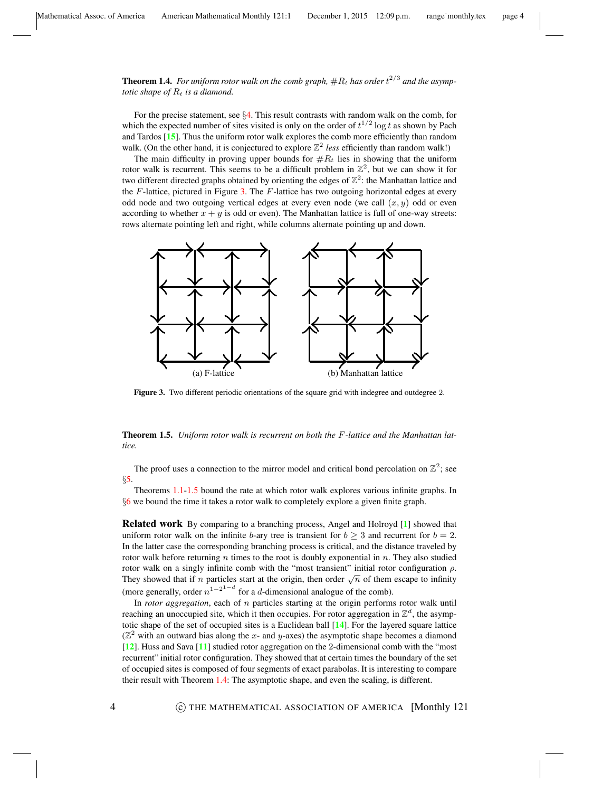<span id="page-3-2"></span>**Theorem 1.4.** For uniform rotor walk on the comb graph,  $\#R_t$  has order  $t^{2/3}$  and the asymp*totic shape of*  $R_t$  *is a diamond.* 

For the precise statement, see  $\S 4$ . This result contrasts with random walk on the comb, for which the expected number of sites visited is only on the order of  $t^{1/2} \log t$  as shown by Pach and Tardos [[15](#page-13-4)]. Thus the uniform rotor walk explores the comb more efficiently than random walk. (On the other hand, it is conjectured to explore  $\mathbb{Z}^2$  less efficiently than random walk!)

The main difficulty in proving upper bounds for  $#R_t$  lies in showing that the uniform rotor walk is recurrent. This seems to be a difficult problem in  $\mathbb{Z}^2$ , but we can show it for two different directed graphs obtained by orienting the edges of  $\mathbb{Z}^2$ : the Manhattan lattice and the  $F$ -lattice, pictured in Figure [3.](#page-3-0) The  $F$ -lattice has two outgoing horizontal edges at every odd node and two outgoing vertical edges at every even node (we call  $(x, y)$  odd or even according to whether  $x + y$  is odd or even). The Manhattan lattice is full of one-way streets: rows alternate pointing left and right, while columns alternate pointing up and down.

<span id="page-3-0"></span>

Figure 3. Two different periodic orientations of the square grid with indegree and outdegree 2.

<span id="page-3-1"></span>Theorem 1.5. *Uniform rotor walk is recurrent on both the* F*-lattice and the Manhattan lattice.*

The proof uses a connection to the mirror model and critical bond percolation on  $\mathbb{Z}^2$ ; see §[5.](#page-8-0)

Theorems [1.1](#page-1-1)[-1.5](#page-3-1) bound the rate at which rotor walk explores various infinite graphs. In §[6](#page-11-0) we bound the time it takes a rotor walk to completely explore a given finite graph.

Related work By comparing to a branching process, Angel and Holroyd [[1](#page-12-3)] showed that uniform rotor walk on the infinite b-ary tree is transient for  $b \geq 3$  and recurrent for  $b = 2$ . In the latter case the corresponding branching process is critical, and the distance traveled by rotor walk before returning n times to the root is doubly exponential in  $n$ . They also studied rotor walk on a singly infinite comb with the "most transient" initial rotor configuration ρ. They showed that if *n* particles start at the origin, then order  $\sqrt{n}$  of them escape to infinity (more generally, order  $n^{1-2^{1-d}}$  for a d-dimensional analogue of the comb).

In *rotor aggregation*, each of n particles starting at the origin performs rotor walk until reaching an unoccupied site, which it then occupies. For rotor aggregation in  $\mathbb{Z}^d$ , the asymptotic shape of the set of occupied sites is a Euclidean ball [[14](#page-13-5)]. For the layered square lattice ( $\mathbb{Z}^2$  with an outward bias along the x- and y-axes) the asymptotic shape becomes a diamond [[12](#page-13-6)]. Huss and Sava [[11](#page-12-4)] studied rotor aggregation on the 2-dimensional comb with the "most recurrent" initial rotor configuration. They showed that at certain times the boundary of the set of occupied sites is composed of four segments of exact parabolas. It is interesting to compare their result with Theorem [1.4:](#page-3-2) The asymptotic shape, and even the scaling, is different.

4 c THE MATHEMATICAL ASSOCIATION OF AMERICA [Monthly 121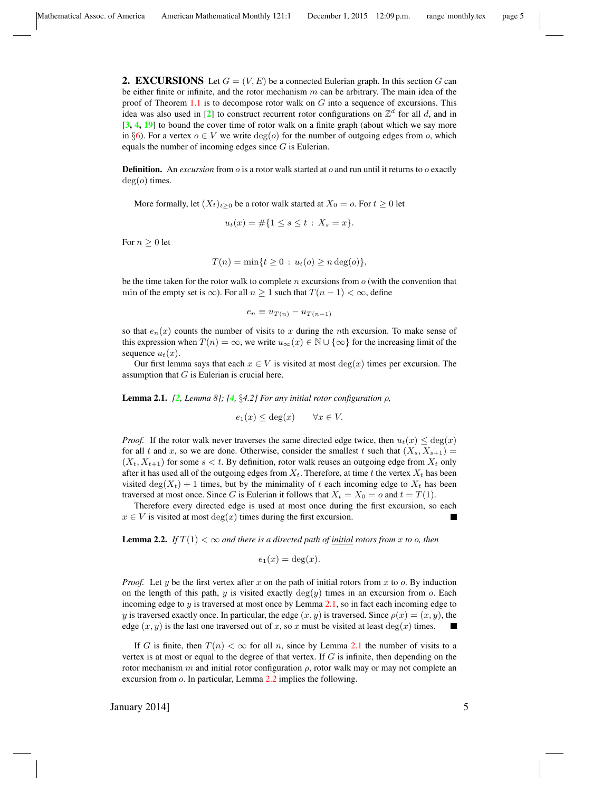<span id="page-4-1"></span>**2. EXCURSIONS** Let  $G = (V, E)$  be a connected Eulerian graph. In this section G can be either finite or infinite, and the rotor mechanism  $m$  can be arbitrary. The main idea of the proof of Theorem [1.1](#page-1-1) is to decompose rotor walk on  $G$  into a sequence of excursions. This idea was also used in [[2](#page-12-5)] to construct recurrent rotor configurations on  $\mathbb{Z}^d$  for all d, and in  $[3, 4, 19]$  $[3, 4, 19]$  $[3, 4, 19]$  $[3, 4, 19]$  $[3, 4, 19]$  $[3, 4, 19]$  $[3, 4, 19]$  to bound the cover time of rotor walk on a finite graph (about which we say more in §[6\)](#page-11-0). For a vertex  $o \in V$  we write  $deg(o)$  for the number of outgoing edges from o, which equals the number of incoming edges since  $G$  is Eulerian.

Definition. An *excursion* from *o* is a rotor walk started at *o* and run until it returns to *o* exactly  $deg(o)$  times.

More formally, let  $(X_t)_{t>0}$  be a rotor walk started at  $X_0 = o$ . For  $t \geq 0$  let

$$
u_t(x) = \#\{1 \le s \le t : X_s = x\}.
$$

For  $n \geq 0$  let

$$
T(n) = \min\{t \ge 0 : u_t(o) \ge n \deg(o)\},\
$$

be the time taken for the rotor walk to complete  $n$  excursions from  $o$  (with the convention that min of the empty set is  $\infty$ ). For all  $n \geq 1$  such that  $T(n-1) < \infty$ , define

$$
e_n \equiv u_{T(n)} - u_{T(n-1)}
$$

so that  $e_n(x)$  counts the number of visits to x during the nth excursion. To make sense of this expression when  $T(n) = \infty$ , we write  $u_{\infty}(x) \in \mathbb{N} \cup \{\infty\}$  for the increasing limit of the sequence  $u_t(x)$ .

Our first lemma says that each  $x \in V$  is visited at most  $deg(x)$  times per excursion. The assumption that  $G$  is Eulerian is crucial here.

<span id="page-4-2"></span>Lemma 2.1. *[[2](#page-12-5), Lemma 8]; [[4](#page-12-7),* §*4.2] For any initial rotor configuration* ρ*,*

$$
e_1(x) \le \deg(x) \qquad \forall x \in V.
$$

*Proof.* If the rotor walk never traverses the same directed edge twice, then  $u_t(x) \leq \deg(x)$ for all t and x, so we are done. Otherwise, consider the smallest t such that  $(X_s, X_{s+1}) =$  $(X_t, X_{t+1})$  for some  $s < t$ . By definition, rotor walk reuses an outgoing edge from  $X_t$  only after it has used all of the outgoing edges from  $X_t$ . Therefore, at time t the vertex  $X_t$  has been visited deg( $X_t$ ) + 1 times, but by the minimality of t each incoming edge to  $X_t$  has been traversed at most once. Since G is Eulerian it follows that  $X_t = X_0 = o$  and  $t = T(1)$ .

Therefore every directed edge is used at most once during the first excursion, so each  $x \in V$  is visited at most  $\deg(x)$  times during the first excursion.

<span id="page-4-0"></span>**Lemma 2.2.** *If*  $T(1) < \infty$  *and there is a directed path of <u>initial</u> rotors from x to o, then* 

$$
e_1(x) = \deg(x).
$$

*Proof.* Let y be the first vertex after x on the path of initial rotors from x to o. By induction on the length of this path, y is visited exactly  $deg(y)$  times in an excursion from o. Each incoming edge to  $y$  is traversed at most once by Lemma [2.1,](#page-4-2) so in fact each incoming edge to y is traversed exactly once. In particular, the edge  $(x, y)$  is traversed. Since  $\rho(x) = (x, y)$ , the edge  $(x, y)$  is the last one traversed out of x, so x must be visited at least  $deg(x)$  times.

If G is finite, then  $T(n) < \infty$  for all n, since by Lemma [2.1](#page-4-2) the number of visits to a vertex is at most or equal to the degree of that vertex. If  $G$  is infinite, then depending on the rotor mechanism m and initial rotor configuration  $\rho$ , rotor walk may or may not complete an excursion from o. In particular, Lemma [2.2](#page-4-0) implies the following.

January 2014] 5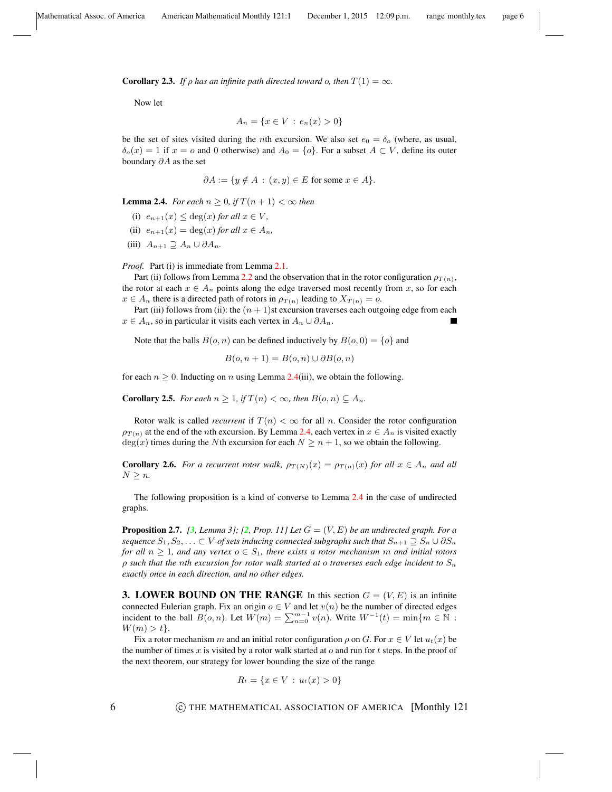<span id="page-5-4"></span>**Corollary 2.3.** *If*  $\rho$  *has an infinite path directed toward o, then*  $T(1) = \infty$ *.* 

Now let

$$
A_n = \{ x \in V : e_n(x) > 0 \}
$$

be the set of sites visited during the *n*th excursion. We also set  $e_0 = \delta_o$  (where, as usual,  $\delta_o(x) = 1$  if  $x = o$  and 0 otherwise) and  $A_0 = \{o\}$ . For a subset  $A \subset V$ , define its outer boundary ∂A as the set

$$
\partial A := \{ y \notin A : (x, y) \in E \text{ for some } x \in A \}.
$$

<span id="page-5-1"></span>**Lemma 2.4.** *For each*  $n \geq 0$ , *if*  $T(n+1) < \infty$  *then* 

- (i)  $e_{n+1}(x) \leq \deg(x)$  *for all*  $x \in V$ *,*
- (ii)  $e_{n+1}(x) = \deg(x)$  *for all*  $x \in A_n$ ,
- (iii)  $A_{n+1} \supseteq A_n \cup \partial A_n$ .

*Proof.* Part (i) is immediate from Lemma [2.1.](#page-4-2)

Part (ii) follows from Lemma [2.2](#page-4-0) and the observation that in the rotor configuration  $\rho_{T(n)}$ , the rotor at each  $x \in A_n$  points along the edge traversed most recently from x, so for each  $x \in A_n$  there is a directed path of rotors in  $\rho_{T(n)}$  leading to  $X_{T(n)} = o$ .

Part (iii) follows from (ii): the  $(n + 1)$ st excursion traverses each outgoing edge from each  $x \in A_n$ , so in particular it visits each vertex in  $A_n \cup \partial A_n$ .

Note that the balls  $B(o, n)$  can be defined inductively by  $B(o, 0) = \{o\}$  and

$$
B(o, n+1) = B(o, n) \cup \partial B(o, n)
$$

for each  $n \geq 0$ . Inducting on n using Lemma [2.4\(](#page-5-1)iii), we obtain the following.

<span id="page-5-2"></span>**Corollary 2.5.** *For each*  $n \geq 1$ *, if*  $T(n) < \infty$ *, then*  $B(o, n) \subseteq A_n$ *.* 

Rotor walk is called *recurrent* if  $T(n) < \infty$  for all n. Consider the rotor configuration  $\rho_{T(n)}$  at the end of the *n*th excursion. By Lemma [2.4,](#page-5-1) each vertex in  $x \in A_n$  is visited exactly  $deg(x)$  times during the Nth excursion for each  $N \geq n + 1$ , so we obtain the following.

**Corollary 2.6.** *For a recurrent rotor walk,*  $\rho_{T(N)}(x) = \rho_{T(n)}(x)$  *for all*  $x \in A_n$  *and all*  $N \geq n$ .

The following proposition is a kind of converse to Lemma [2.4](#page-5-1) in the case of undirected graphs.

<span id="page-5-3"></span>**Proposition [2](#page-12-5).7.** *[[3](#page-12-6), Lemma 3]; [2, Prop. 11] Let*  $G = (V, E)$  *be an undirected graph. For a sequence*  $S_1, S_2, \ldots \subset V$  *of sets inducing connected subgraphs such that*  $S_{n+1} \supseteq S_n \cup \partial S_n$ *for all*  $n \geq 1$ *, and any vertex*  $o \in S_1$ *, there exists a rotor mechanism m and initial rotors* ρ *such that the* n*th excursion for rotor walk started at* o *traverses each edge incident to* S<sup>n</sup> *exactly once in each direction, and no other edges.*

<span id="page-5-0"></span>**3. LOWER BOUND ON THE RANGE** In this section  $G = (V, E)$  is an infinite connected Eulerian graph. Fix an origin  $o \in V$  and let  $v(n)$  be the number of directed edges incident to the ball  $B(o, n)$ . Let  $W(m) = \sum_{n=0}^{m-1} v(n)$ . Write  $W^{-1}(t) = \min\{m \in \mathbb{N} :$  $W(m) > t$ .

Fix a rotor mechanism m and an initial rotor configuration  $\rho$  on G. For  $x \in V$  let  $u_t(x)$  be the number of times x is visited by a rotor walk started at  $o$  and run for t steps. In the proof of the next theorem, our strategy for lower bounding the size of the range

$$
R_t = \{ x \in V : u_t(x) > 0 \}
$$

6 **6 C** THE MATHEMATICAL ASSOCIATION OF AMERICA [Monthly 121]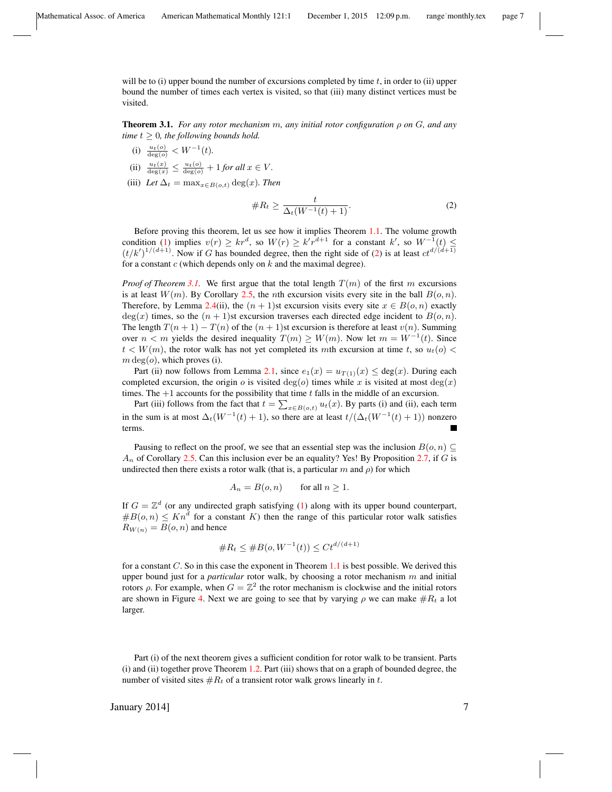will be to (i) upper bound the number of excursions completed by time  $t$ , in order to (ii) upper bound the number of times each vertex is visited, so that (iii) many distinct vertices must be visited.

<span id="page-6-1"></span>**Theorem 3.1.** *For any rotor mechanism m, any initial rotor configuration*  $\rho$  *on*  $G$ *, and any time*  $t \geq 0$ *, the following bounds hold.* 

- (i)  $\frac{u_t(o)}{\deg(o)} < W^{-1}(t)$ .
- (ii)  $\frac{u_t(x)}{\deg(x)} \leq \frac{u_t(o)}{\deg(o)} + 1$  *for all*  $x \in V$ *.*
- (iii) *Let*  $\Delta_t = \max_{x \in B(o,t)} \deg(x)$ *. Then*

<span id="page-6-0"></span>
$$
\#R_t \ge \frac{t}{\Delta_t(W^{-1}(t)+1)}.\tag{2}
$$

Before proving this theorem, let us see how it implies Theorem [1.1.](#page-1-1) The volume growth condition [\(1\)](#page-1-0) implies  $v(r) \ge kr^d$ , so  $W(r) \ge kr^{d+1}$  for a constant  $k'$ , so  $W^{-1}(t) \le$  $(t/k')^{1/(d+1)}$ . Now if G has bounded degree, then the right side of [\(2\)](#page-6-0) is at least  $ct^{d/(d+1)}$ for a constant  $c$  (which depends only on  $k$  and the maximal degree).

*Proof of Theorem [3.1.](#page-6-1)* We first argue that the total length  $T(m)$  of the first m excursions is at least  $W(m)$ . By Corollary [2.5,](#page-5-2) the *n*th excursion visits every site in the ball  $B(o, n)$ . Therefore, by Lemma [2.4\(](#page-5-1)ii), the  $(n + 1)$ st excursion visits every site  $x \in B(o, n)$  exactly  $deg(x)$  times, so the  $(n + 1)$ st excursion traverses each directed edge incident to  $B(o, n)$ . The length  $T(n + 1) - T(n)$  of the  $(n + 1)$ st excursion is therefore at least  $v(n)$ . Summing over  $n < m$  yields the desired inequality  $T(m) \ge W(m)$ . Now let  $m = W^{-1}(t)$ . Since  $t < W(m)$ , the rotor walk has not yet completed its mth excursion at time t, so  $u_t(o)$  $m \deg(o)$ , which proves (i).

Part (ii) now follows from Lemma [2.1,](#page-4-2) since  $e_1(x) = u_{T(1)}(x) \leq deg(x)$ . During each completed excursion, the origin o is visited deg(o) times while x is visited at most deg(x) times. The  $+1$  accounts for the possibility that time t falls in the middle of an excursion.

Part (iii) follows from the fact that  $t = \sum_{x \in B(o,t)} u_t(x)$ . By parts (i) and (ii), each term in the sum is at most  $\Delta_t(W^{-1}(t) + 1)$ , so there are at least  $t/(\Delta_t(W^{-1}(t) + 1))$  nonzero terms.

Pausing to reflect on the proof, we see that an essential step was the inclusion  $B(o, n) \subseteq$  $A_n$  of Corollary [2.5.](#page-5-2) Can this inclusion ever be an equality? Yes! By Proposition [2.7,](#page-5-3) if G is undirected then there exists a rotor walk (that is, a particular m and  $\rho$ ) for which

$$
A_n = B(o, n) \qquad \text{for all } n \ge 1.
$$

If  $G = \mathbb{Z}^d$  (or any undirected graph satisfying [\(1\)](#page-1-0) along with its upper bound counterpart,  $#B(o, n) \leq Kn^d$  for a constant K) then the range of this particular rotor walk satisfies  $R_{W(n)} = B(o, n)$  and hence

$$
\#R_t \le \#B(o, W^{-1}(t)) \le Ct^{d/(d+1)}
$$

for a constant  $C$ . So in this case the exponent in Theorem [1.1](#page-1-1) is best possible. We derived this upper bound just for a *particular* rotor walk, by choosing a rotor mechanism m and initial rotors ρ. For example, when  $G = \mathbb{Z}^2$  the rotor mechanism is clockwise and the initial rotors are shown in Figure [4.](#page-7-1) Next we are going to see that by varying  $\rho$  we can make  $\#R_t$  a lot larger.

Part (i) of the next theorem gives a sufficient condition for rotor walk to be transient. Parts (i) and (ii) together prove Theorem [1.2.](#page-2-0) Part (iii) shows that on a graph of bounded degree, the number of visited sites  $#R_t$  of a transient rotor walk grows linearly in t.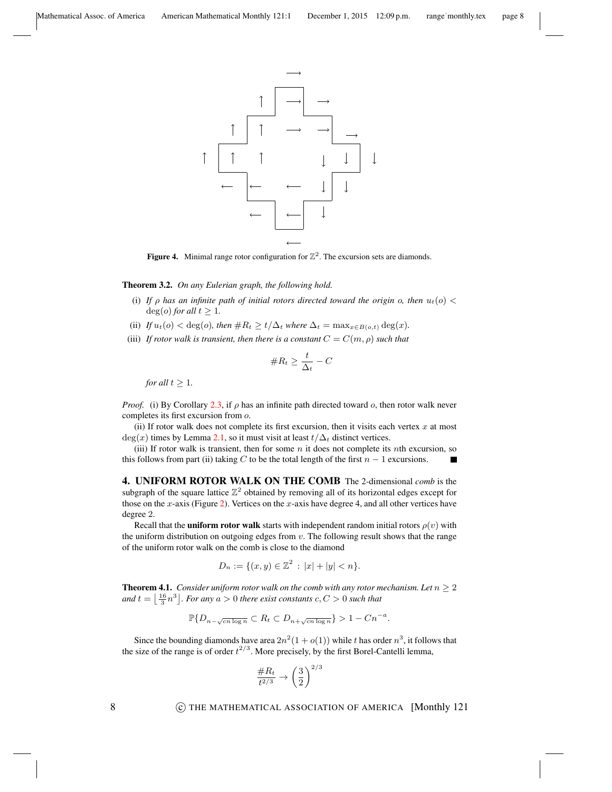<span id="page-7-1"></span>

Figure 4. Minimal range rotor configuration for  $\mathbb{Z}^2$ . The excursion sets are diamonds.

Theorem 3.2. *On any Eulerian graph, the following hold.*

- (i) If  $\rho$  has an infinite path of initial rotors directed toward the origin  $\rho$ , then  $u_t(o)$  <  $deg(o)$  *for all*  $t \geq 1$ *.*
- (ii) *If*  $u_t(o) < deg(o)$ *, then*  $#R_t \ge t/\Delta_t$  *where*  $\Delta_t = \max_{x \in B(o,t)} deg(x)$ *.*
- (iii) *If rotor walk is transient, then there is a constant*  $C = C(m, \rho)$  *such that*

$$
\#R_t \geq \frac{t}{\Delta_t} - C
$$

*for all*  $t \geq 1$ *.* 

*Proof.* (i) By Corollary [2.3,](#page-5-4) if  $\rho$  has an infinite path directed toward  $o$ , then rotor walk never completes its first excursion from o.

(ii) If rotor walk does not complete its first excursion, then it visits each vertex  $x$  at most  $deg(x)$  times by Lemma [2.1,](#page-4-2) so it must visit at least  $t/\Delta_t$  distinct vertices.

(iii) If rotor walk is transient, then for some  $n$  it does not complete its nth excursion, so this follows from part (ii) taking C to be the total length of the first  $n - 1$  excursions. П

<span id="page-7-0"></span>4. UNIFORM ROTOR WALK ON THE COMB The 2-dimensional *comb* is the subgraph of the square lattice  $\mathbb{Z}^2$  obtained by removing all of its horizontal edges except for those on the x-axis (Figure [2\)](#page-2-2). Vertices on the x-axis have degree 4, and all other vertices have degree 2.

Recall that the **uniform rotor walk** starts with independent random initial rotors  $\rho(v)$  with the uniform distribution on outgoing edges from  $v$ . The following result shows that the range of the uniform rotor walk on the comb is close to the diamond

$$
D_n := \{ (x, y) \in \mathbb{Z}^2 \, : \, |x| + |y| < n \}.
$$

<span id="page-7-2"></span>**Theorem 4.1.** *Consider uniform rotor walk on the comb with any rotor mechanism. Let*  $n \geq 2$ and  $t = \left\lfloor \frac{16}{3} n^3 \right\rfloor$ *. For any*  $a > 0$  *there exist constants*  $c, C > 0$  *such that* 

$$
\mathbb{P}\{D_{n-\sqrt{cn\log n}}\subset R_t\subset D_{n+\sqrt{cn\log n}}\}>1-Cn^{-a}.
$$

Since the bounding diamonds have area  $2n^2(1+o(1))$  while t has order  $n^3$ , it follows that the size of the range is of order  $t^{2/3}$ . More precisely, by the first Borel-Cantelli lemma,

$$
\frac{\#R_t}{t^{2/3}}\rightarrow \left(\frac{3}{2}\right)^{2/3}
$$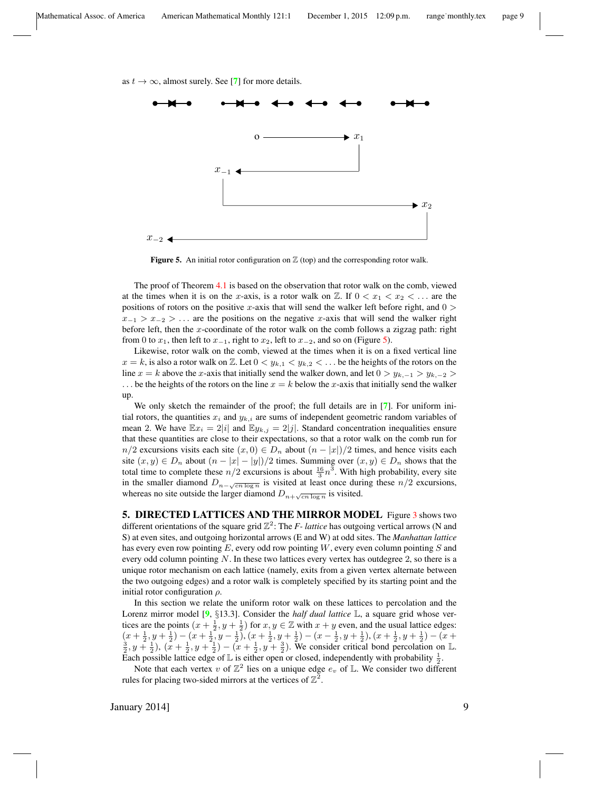<span id="page-8-1"></span>as  $t \to \infty$ , almost surely. See [[7](#page-12-8)] for more details.





The proof of Theorem [4.1](#page-7-2) is based on the observation that rotor walk on the comb, viewed at the times when it is on the x-axis, is a rotor walk on  $\mathbb{Z}$ . If  $0 < x_1 < x_2 < \dots$  are the positions of rotors on the positive x-axis that will send the walker left before right, and  $0 >$  $x_{-1} > x_{-2} > \ldots$  are the positions on the negative x-axis that will send the walker right before left, then the  $x$ -coordinate of the rotor walk on the comb follows a zigzag path: right from 0 to  $x_1$ , then left to  $x_{-1}$ , right to  $x_2$ , left to  $x_{-2}$ , and so on (Figure [5\)](#page-8-1).

Likewise, rotor walk on the comb, viewed at the times when it is on a fixed vertical line  $x = k$ , is also a rotor walk on Z. Let  $0 < y_{k,1} < y_{k,2} < \ldots$  be the heights of the rotors on the line  $x = k$  above the x-axis that initially send the walker down, and let  $0 > y_{k,-1} > y_{k,-2} >$ ... be the heights of the rotors on the line  $x = k$  below the x-axis that initially send the walker up.

We only sketch the remainder of the proof; the full details are in [[7](#page-12-8)]. For uniform initial rotors, the quantities  $x_i$  and  $y_{k,i}$  are sums of independent geometric random variables of mean 2. We have  $\mathbb{E}x_i = 2|i|$  and  $\mathbb{E}y_{k,j} = 2|j|$ . Standard concentration inequalities ensure that these quantities are close to their expectations, so that a rotor walk on the comb run for  $n/2$  excursions visits each site  $(x, 0) \in D_n$  about  $(n - |x|)/2$  times, and hence visits each site  $(x, y) \in D_n$  about  $(n - |x| - |y|)/2$  times. Summing over  $(x, y) \in D_n$  shows that the total time to complete these  $n/2$  excursions is about  $\frac{16}{3}n^3$ . With high probability, every site in the smaller diamond  $D_{n-\sqrt{cn \log n}}$  is visited at least once during these  $n/2$  excursions, whereas no site outside the larger diamond  $D_{n+\sqrt{cn\log n}}$  is visited.

<span id="page-8-0"></span>5. DIRECTED LATTICES AND THE MIRROR MODEL Figure [3](#page-3-0) shows two different orientations of the square grid  $\mathbb{Z}^2$ : The *F- lattice* has outgoing vertical arrows (N and S) at even sites, and outgoing horizontal arrows (E and W) at odd sites. The *Manhattan lattice* has every even row pointing  $E$ , every odd row pointing  $W$ , every even column pointing  $S$  and every odd column pointing  $N$ . In these two lattices every vertex has outdegree 2, so there is a unique rotor mechanism on each lattice (namely, exits from a given vertex alternate between the two outgoing edges) and a rotor walk is completely specified by its starting point and the initial rotor configuration  $\rho$ .

In this section we relate the uniform rotor walk on these lattices to percolation and the Lorenz mirror model [[9](#page-12-9), §13.3]. Consider the *half dual lattice*  $\mathbb{L}$ , a square grid whose vertices are the points  $(x + \frac{1}{2}, y + \frac{1}{2})$  for  $x, y \in \mathbb{Z}$  with  $x + y$  even, and the usual lattice edges:  $(x+\frac{1}{2},y+\frac{1}{2})-(x+\frac{1}{2},y-\frac{1}{2})$ ,  $(x+\frac{1}{2},y+\frac{1}{2})-(x-\frac{1}{2},y+\frac{1}{2})$ ,  $(x+\frac{1}{2},y+\frac{1}{2})-(x+\frac{1}{2},y+\frac{1}{2})$  $(\frac{3}{2}, y + \frac{1}{2}), (\overline{x} + \frac{1}{2}, y + \frac{2}{2}) - (\overline{x} + \frac{1}{2}, y + \frac{3}{2}).$  We consider critical bond percolation on L. Each possible lattice edge of L is either open or closed, independently with probability  $\frac{1}{2}$ .

Note that each vertex v of  $\mathbb{Z}^2$  lies on a unique edge  $e_v$  of L. We consider two different rules for placing two-sided mirrors at the vertices of  $\mathbb{Z}^2$ .

January 2014] 9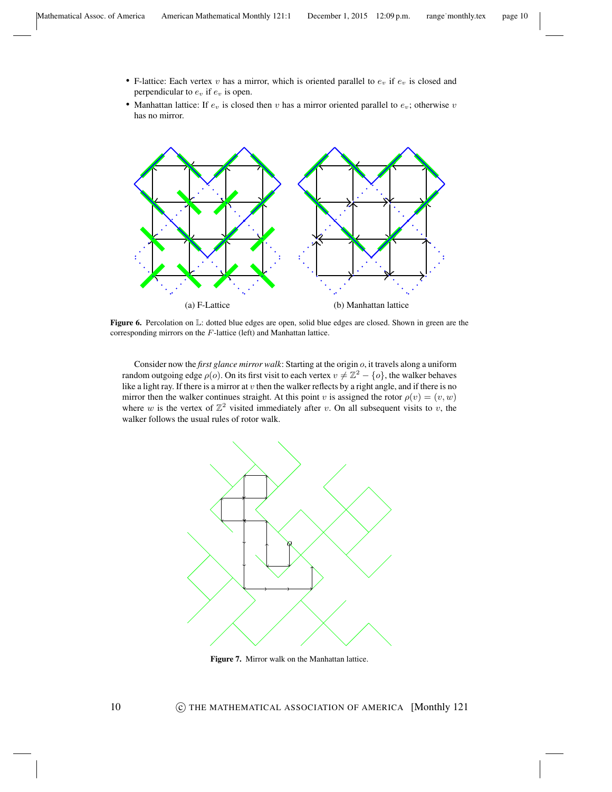- F-lattice: Each vertex  $v$  has a mirror, which is oriented parallel to  $e_v$  if  $e_v$  is closed and perpendicular to  $e_v$  if  $e_v$  is open.
- Manhattan lattice: If  $e_v$  is closed then v has a mirror oriented parallel to  $e_v$ ; otherwise v has no mirror.



Figure 6. Percolation on L: dotted blue edges are open, solid blue edges are closed. Shown in green are the corresponding mirrors on the F-lattice (left) and Manhattan lattice.

Consider now the *first glance mirror walk*: Starting at the origin o, it travels along a uniform random outgoing edge  $\rho(o)$ . On its first visit to each vertex  $v \neq \mathbb{Z}^2 - \{o\}$ , the walker behaves like a light ray. If there is a mirror at  $v$  then the walker reflects by a right angle, and if there is no mirror then the walker continues straight. At this point v is assigned the rotor  $\rho(v) = (v, w)$ where w is the vertex of  $\mathbb{Z}^2$  visited immediately after v. On all subsequent visits to v, the walker follows the usual rules of rotor walk.



Figure 7. Mirror walk on the Manhattan lattice.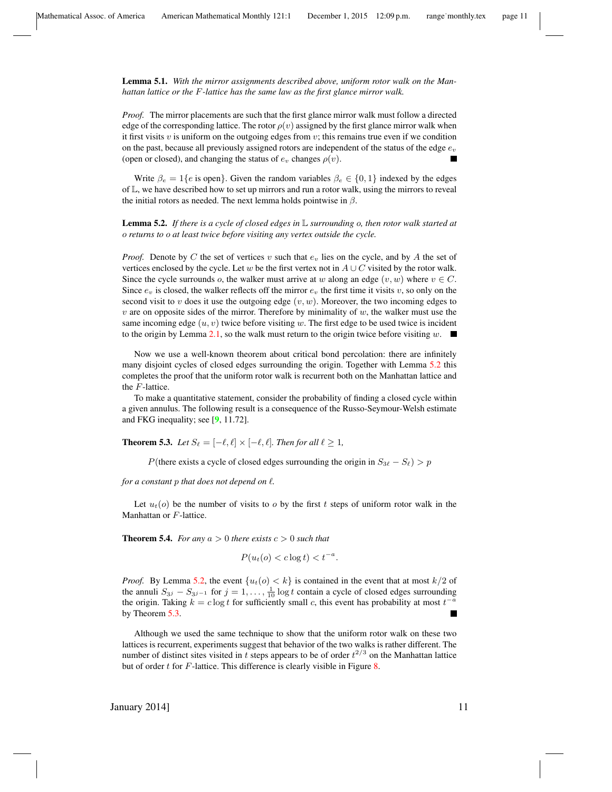Lemma 5.1. *With the mirror assignments described above, uniform rotor walk on the Manhattan lattice or the* F*-lattice has the same law as the first glance mirror walk.*

*Proof.* The mirror placements are such that the first glance mirror walk must follow a directed edge of the corresponding lattice. The rotor  $\rho(v)$  assigned by the first glance mirror walk when it first visits  $v$  is uniform on the outgoing edges from  $v$ ; this remains true even if we condition on the past, because all previously assigned rotors are independent of the status of the edge  $e_v$ (open or closed), and changing the status of  $e_v$  changes  $\rho(v)$ .

Write  $\beta_e = 1\{e \text{ is open}\}\.$  Given the random variables  $\beta_e \in \{0, 1\}$  indexed by the edges of  $\mathbb{L}$ , we have described how to set up mirrors and run a rotor walk, using the mirrors to reveal the initial rotors as needed. The next lemma holds pointwise in  $\beta$ .

<span id="page-10-0"></span>Lemma 5.2. *If there is a cycle of closed edges in* L *surrounding* o*, then rotor walk started at* o *returns to* o *at least twice before visiting any vertex outside the cycle.*

*Proof.* Denote by C the set of vertices v such that  $e<sub>v</sub>$  lies on the cycle, and by A the set of vertices enclosed by the cycle. Let w be the first vertex not in  $A \cup C$  visited by the rotor walk. Since the cycle surrounds o, the walker must arrive at w along an edge  $(v, w)$  where  $v \in C$ . Since  $e_v$  is closed, the walker reflects off the mirror  $e_v$  the first time it visits v, so only on the second visit to v does it use the outgoing edge  $(v, w)$ . Moreover, the two incoming edges to  $v$  are on opposite sides of the mirror. Therefore by minimality of  $w$ , the walker must use the same incoming edge  $(u, v)$  twice before visiting w. The first edge to be used twice is incident to the origin by Lemma [2.1,](#page-4-2) so the walk must return to the origin twice before visiting w.  $\Box$ 

Now we use a well-known theorem about critical bond percolation: there are infinitely many disjoint cycles of closed edges surrounding the origin. Together with Lemma [5.2](#page-10-0) this completes the proof that the uniform rotor walk is recurrent both on the Manhattan lattice and the F-lattice.

To make a quantitative statement, consider the probability of finding a closed cycle within a given annulus. The following result is a consequence of the Russo-Seymour-Welsh estimate and FKG inequality; see [[9](#page-12-9), 11.72].

<span id="page-10-1"></span>**Theorem 5.3.** Let  $S_\ell = [-\ell, \ell] \times [-\ell, \ell]$ . Then for all  $\ell \geq 1$ ,

P(there exists a cycle of closed edges surrounding the origin in  $S_{3\ell} - S_{\ell}$ ) > p

*for a constant*  $p$  *that does not depend on*  $\ell$ *.* 

Let  $u_t(o)$  be the number of visits to o by the first t steps of uniform rotor walk in the Manhattan or F-lattice.

**Theorem 5.4.** *For any*  $a > 0$  *there exists*  $c > 0$  *such that* 

$$
P(u_t(o) < c \log t) < t^{-a}.
$$

*Proof.* By Lemma [5.2,](#page-10-0) the event  $\{u_t(o) < k\}$  is contained in the event that at most  $k/2$  of the annuli  $S_{3j} - S_{3j-1}$  for  $j = 1, ..., \frac{1}{10} \log t$  contain a cycle of closed edges surrounding the origin. Taking  $k = c \log t$  for sufficiently small c, this event has probability at most  $t^{-a}$ by Theorem [5.3.](#page-10-1) Г

Although we used the same technique to show that the uniform rotor walk on these two lattices is recurrent, experiments suggest that behavior of the two walks is rather different. The number of distinct sites visited in t steps appears to be of order  $t^{2/3}$  on the Manhattan lattice but of order  $t$  for  $F$ -lattice. This difference is clearly visible in Figure [8.](#page-11-1)

January 2014]  $11$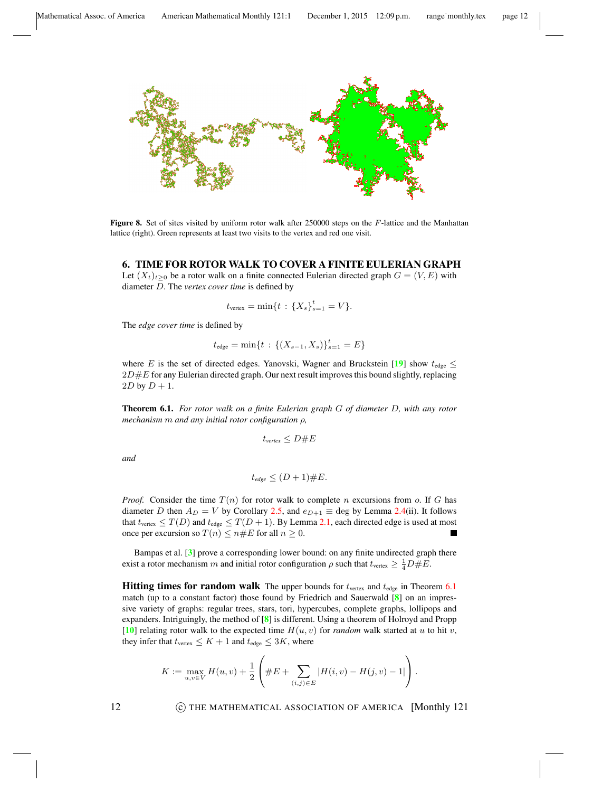<span id="page-11-1"></span>

Figure 8. Set of sites visited by uniform rotor walk after 250000 steps on the F-lattice and the Manhattan lattice (right). Green represents at least two visits to the vertex and red one visit.

# <span id="page-11-0"></span>6. TIME FOR ROTOR WALK TO COVER A FINITE EULERIAN GRAPH

Let  $(X_t)_{t>0}$  be a rotor walk on a finite connected Eulerian directed graph  $G = (V, E)$  with diameter D. The *vertex cover time* is defined by

$$
t_{\text{vertex}} = \min\{t \,:\, \{X_s\}_{s=1}^t = V\}.
$$

The *edge cover time* is defined by

$$
t_{\text{edge}} = \min\{t : \left\{ (X_{s-1}, X_s) \right\}_{s=1}^t = E \}
$$

where E is the set of directed edges. Yanovski, Wagner and Bruckstein [[19](#page-13-7)] show  $t_{\text{edge}} \leq$  $2D \# E$  for any Eulerian directed graph. Our next result improves this bound slightly, replacing  $2D$  by  $D + 1$ .

<span id="page-11-2"></span>Theorem 6.1. *For rotor walk on a finite Eulerian graph* G *of diameter* D*, with any rotor mechanism* m *and any initial rotor configuration* ρ*,*

$$
t_{vertex} \leq D \# E
$$

*and*

$$
t_{\text{edge}} \leq (D+1) \# E.
$$

*Proof.* Consider the time  $T(n)$  for rotor walk to complete n excursions from o. If G has diameter D then  $A_D = V$  by Corollary [2.5,](#page-5-2) and  $e_{D+1} \equiv$  deg by Lemma [2.4\(](#page-5-1)ii). It follows that  $t_{\text{vertex}} \leq T(D)$  and  $t_{\text{edge}} \leq T(D+1)$ . By Lemma [2.1,](#page-4-2) each directed edge is used at most once per excursion so  $T(n) \le n \# E$  for all  $n \ge 0$ .

Bampas et al. [[3](#page-12-6)] prove a corresponding lower bound: on any finite undirected graph there exist a rotor mechanism m and initial rotor configuration  $\rho$  such that  $t_{\text{vertex}} \geq \frac{1}{4}D \# E$ .

**Hitting times for random walk** The upper bounds for  $t_{\text{vertex}}$  and  $t_{\text{edge}}$  in Theorem [6.1](#page-11-2) match (up to a constant factor) those found by Friedrich and Sauerwald  $[8]$  $[8]$  $[8]$  on an impressive variety of graphs: regular trees, stars, tori, hypercubes, complete graphs, lollipops and expanders. Intriguingly, the method of [[8](#page-12-10)] is different. Using a theorem of Holroyd and Propp [[10](#page-12-2)] relating rotor walk to the expected time  $H(u, v)$  for *random* walk started at u to hit v, they infer that  $t_{\text{vertex}} \leq K + 1$  and  $t_{\text{edge}} \leq 3K$ , where

$$
K := \max_{u,v \in V} H(u,v) + \frac{1}{2} \left( \#E + \sum_{(i,j) \in E} |H(i,v) - H(j,v) - 1| \right).
$$

12 **C** THE MATHEMATICAL ASSOCIATION OF AMERICA [Monthly 121]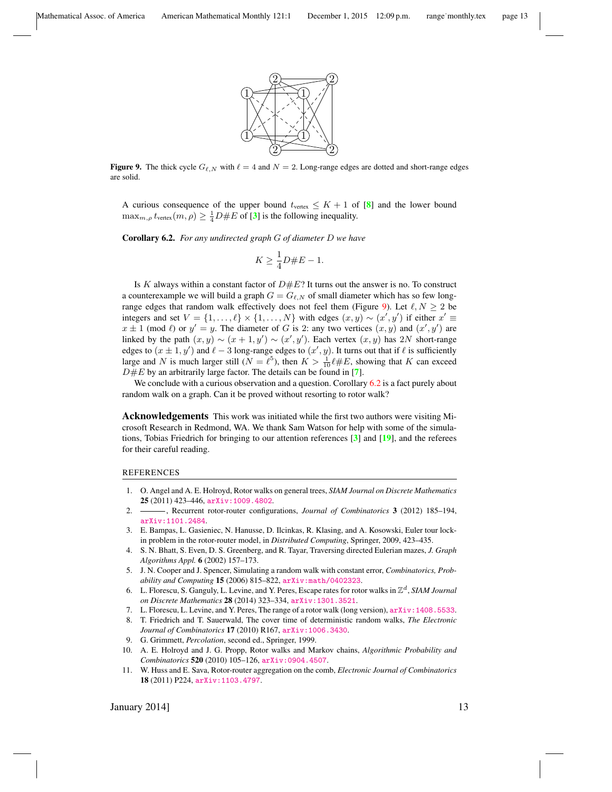

<span id="page-12-11"></span>**Figure 9.** The thick cycle  $G_{\ell,N}$  with  $\ell = 4$  and  $N = 2$ . Long-range edges are dotted and short-range edges are solid.

A curious consequence of the upper bound  $t_{\text{vertex}} \leq K + 1$  of [[8](#page-12-10)] and the lower bound  $\max_{m,\rho} t_{\text{vertex}}(m,\rho) \geq \frac{1}{4}D \# E$  of [[3](#page-12-6)] is the following inequality.

<span id="page-12-12"></span>Corollary 6.2. *For any undirected graph* G *of diameter* D *we have*

$$
K \ge \frac{1}{4}D \# E - 1.
$$

Is  $K$  always within a constant factor of  $D \# E$ ? It turns out the answer is no. To construct a counterexample we will build a graph  $G = G_{\ell,N}$  of small diameter which has so few long-range edges that random walk effectively does not feel them (Figure [9\)](#page-12-11). Let  $\ell, N \geq 2$  be integers and set  $V = \{1, ..., \ell\} \times \{1, ..., N\}$  with edges  $(x, y) \sim (x', y')$  if either  $x' \equiv$  $x \pm 1$  (mod  $\ell$ ) or  $y' = y$ . The diameter of G is 2: any two vertices  $(x, y)$  and  $(x', y')$  are linked by the path  $(x, y) \sim (x + 1, y') \sim (x', y')$ . Each vertex  $(x, y)$  has 2N short-range edges to  $(x \pm 1, y')$  and  $\ell - 3$  long-range edges to  $(x', y)$ . It turns out that if  $\ell$  is sufficiently large and N is much larger still ( $N = \ell^5$ ), then  $K > \frac{1}{10} \ell \# E$ , showing that K can exceed  $D \# E$  by an arbitrarily large factor. The details can be found in [[7](#page-12-8)].

We conclude with a curious observation and a question. Corollary [6.2](#page-12-12) is a fact purely about random walk on a graph. Can it be proved without resorting to rotor walk?

Acknowledgements This work was initiated while the first two authors were visiting Microsoft Research in Redmond, WA. We thank Sam Watson for help with some of the simulations, Tobias Friedrich for bringing to our attention references [[3](#page-12-6)] and [[19](#page-13-7)], and the referees for their careful reading.

#### REFERENCES

- <span id="page-12-3"></span>1. O. Angel and A. E. Holroyd, Rotor walks on general trees, *SIAM Journal on Discrete Mathematics* 25 (2011) 423–446, [arXiv:1009.4802](http://arxiv.org/abs/1009.4802).
- <span id="page-12-5"></span>2. , Recurrent rotor-router configurations, *Journal of Combinatorics* 3 (2012) 185-194, [arXiv:1101.2484](http://arxiv.org/abs/1101.2484).
- <span id="page-12-6"></span>3. E. Bampas, L. Gasieniec, N. Hanusse, D. Ilcinkas, R. Klasing, and A. Kosowski, Euler tour lockin problem in the rotor-router model, in *Distributed Computing*, Springer, 2009, 423–435.
- <span id="page-12-7"></span>4. S. N. Bhatt, S. Even, D. S. Greenberg, and R. Tayar, Traversing directed Eulerian mazes, *J. Graph Algorithms Appl.* 6 (2002) 157–173.
- <span id="page-12-0"></span>5. J. N. Cooper and J. Spencer, Simulating a random walk with constant error, *Combinatorics, Probability and Computing* 15 (2006) 815–822, [arXiv:math/0402323](http://arxiv.org/abs/math/0402323).
- <span id="page-12-1"></span>6. L. Florescu, S. Ganguly, L. Levine, and Y. Peres, Escape rates for rotor walks in Z <sup>d</sup>, *SIAM Journal on Discrete Mathematics* 28 (2014) 323–334, [arXiv:1301.3521](http://arxiv.org/abs/1301.3521).
- <span id="page-12-8"></span>7. L. Florescu, L. Levine, and Y. Peres, The range of a rotor walk (long version), [arXiv:1408.5533](http://arxiv.org/abs/1408.5533).
- <span id="page-12-10"></span>8. T. Friedrich and T. Sauerwald, The cover time of deterministic random walks, *The Electronic Journal of Combinatorics* 17 (2010) R167, [arXiv:1006.3430](http://arxiv.org/abs/1006.3430).
- <span id="page-12-9"></span>9. G. Grimmett, *Percolation*, second ed., Springer, 1999.
- <span id="page-12-2"></span>10. A. E. Holroyd and J. G. Propp, Rotor walks and Markov chains, *Algorithmic Probability and Combinatorics* 520 (2010) 105–126, [arXiv:0904.4507](http://arxiv.org/abs/0904.4507).
- <span id="page-12-4"></span>11. W. Huss and E. Sava, Rotor-router aggregation on the comb, *Electronic Journal of Combinatorics* 18 (2011) P224, [arXiv:1103.4797](http://arxiv.org/abs/1103.4797).